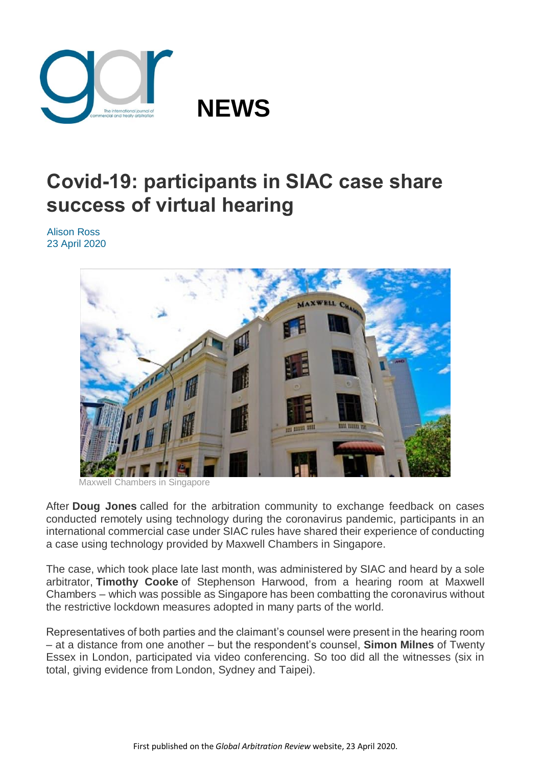

## **Covid-19: participants in SIAC case share success of virtual hearing**

Alison Ross 23 April 2020



well Chambers in Singapore

After **Doug Jones** called for the arbitration community to exchange feedback on cases conducted remotely using technology during the coronavirus pandemic, participants in an international commercial case under SIAC rules have shared their experience of conducting a case using technology provided by Maxwell Chambers in Singapore.

The case, which took place late last month, was administered by SIAC and heard by a sole arbitrator, **Timothy Cooke** of Stephenson Harwood, from a hearing room at Maxwell Chambers – which was possible as Singapore has been combatting the coronavirus without the restrictive lockdown measures adopted in many parts of the world.

Representatives of both parties and the claimant's counsel were present in the hearing room – at a distance from one another – but the respondent's counsel, **Simon Milnes** of Twenty Essex in London, participated via video conferencing. So too did all the witnesses (six in total, giving evidence from London, Sydney and Taipei).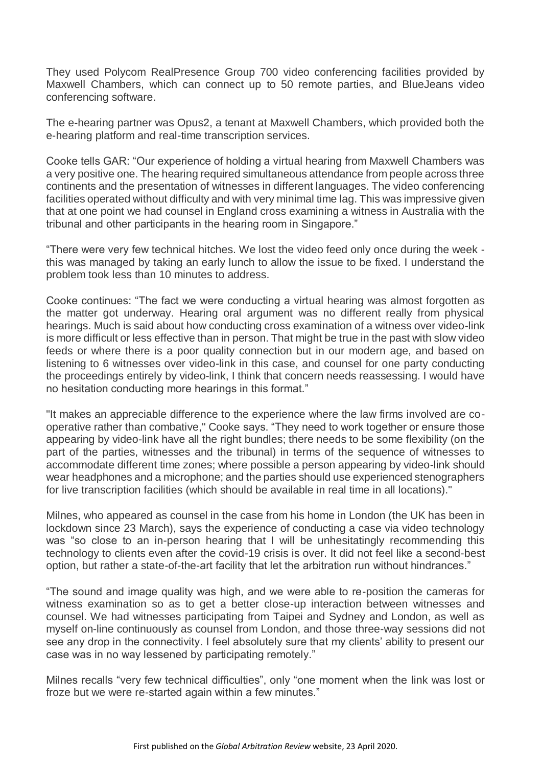They used Polycom RealPresence Group 700 video conferencing facilities provided by Maxwell Chambers, which can connect up to 50 remote parties, and BlueJeans video conferencing software.

The e-hearing partner was Opus2, a tenant at Maxwell Chambers, which provided both the e-hearing platform and real-time transcription services.

Cooke tells GAR: "Our experience of holding a virtual hearing from Maxwell Chambers was a very positive one. The hearing required simultaneous attendance from people across three continents and the presentation of witnesses in different languages. The video conferencing facilities operated without difficulty and with very minimal time lag. This was impressive given that at one point we had counsel in England cross examining a witness in Australia with the tribunal and other participants in the hearing room in Singapore."

"There were very few technical hitches. We lost the video feed only once during the week this was managed by taking an early lunch to allow the issue to be fixed. I understand the problem took less than 10 minutes to address.

Cooke continues: "The fact we were conducting a virtual hearing was almost forgotten as the matter got underway. Hearing oral argument was no different really from physical hearings. Much is said about how conducting cross examination of a witness over video-link is more difficult or less effective than in person. That might be true in the past with slow video feeds or where there is a poor quality connection but in our modern age, and based on listening to 6 witnesses over video-link in this case, and counsel for one party conducting the proceedings entirely by video-link, I think that concern needs reassessing. I would have no hesitation conducting more hearings in this format."

"It makes an appreciable difference to the experience where the law firms involved are cooperative rather than combative," Cooke says. "They need to work together or ensure those appearing by video-link have all the right bundles; there needs to be some flexibility (on the part of the parties, witnesses and the tribunal) in terms of the sequence of witnesses to accommodate different time zones; where possible a person appearing by video-link should wear headphones and a microphone; and the parties should use experienced stenographers for live transcription facilities (which should be available in real time in all locations)."

Milnes, who appeared as counsel in the case from his home in London (the UK has been in lockdown since 23 March), says the experience of conducting a case via video technology was "so close to an in-person hearing that I will be unhesitatingly recommending this technology to clients even after the covid-19 crisis is over. It did not feel like a second-best option, but rather a state-of-the-art facility that let the arbitration run without hindrances."

"The sound and image quality was high, and we were able to re-position the cameras for witness examination so as to get a better close-up interaction between witnesses and counsel. We had witnesses participating from Taipei and Sydney and London, as well as myself on-line continuously as counsel from London, and those three-way sessions did not see any drop in the connectivity. I feel absolutely sure that my clients' ability to present our case was in no way lessened by participating remotely."

Milnes recalls "very few technical difficulties", only "one moment when the link was lost or froze but we were re-started again within a few minutes."